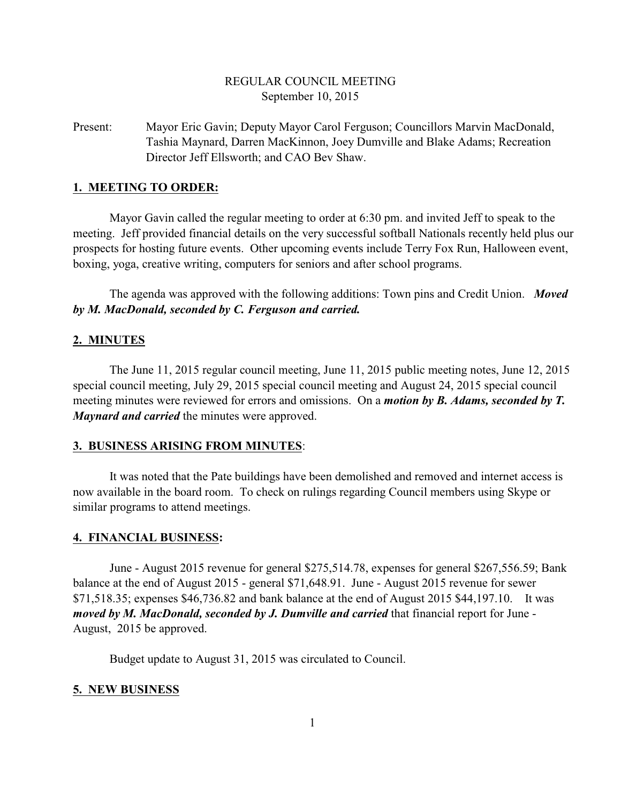# REGULAR COUNCIL MEETING September 10, 2015

Present: Mayor Eric Gavin; Deputy Mayor Carol Ferguson; Councillors Marvin MacDonald, Tashia Maynard, Darren MacKinnon, Joey Dumville and Blake Adams; Recreation Director Jeff Ellsworth; and CAO Bev Shaw.

## **1. MEETING TO ORDER:**

Mayor Gavin called the regular meeting to order at 6:30 pm. and invited Jeff to speak to the meeting. Jeff provided financial details on the very successful softball Nationals recently held plus our prospects for hosting future events. Other upcoming events include Terry Fox Run, Halloween event, boxing, yoga, creative writing, computers for seniors and after school programs.

The agenda was approved with the following additions: Town pins and Credit Union. *Moved by M. MacDonald, seconded by C. Ferguson and carried.*

## **2. MINUTES**

The June 11, 2015 regular council meeting, June 11, 2015 public meeting notes, June 12, 2015 special council meeting, July 29, 2015 special council meeting and August 24, 2015 special council meeting minutes were reviewed for errors and omissions. On a *motion by B. Adams, seconded by T. Maynard and carried* the minutes were approved.

## **3. BUSINESS ARISING FROM MINUTES**:

It was noted that the Pate buildings have been demolished and removed and internet access is now available in the board room. To check on rulings regarding Council members using Skype or similar programs to attend meetings.

## **4. FINANCIAL BUSINESS:**

June - August 2015 revenue for general \$275,514.78, expenses for general \$267,556.59; Bank balance at the end of August 2015 - general \$71,648.91. June - August 2015 revenue for sewer \$71,518.35; expenses \$46,736.82 and bank balance at the end of August 2015 \$44,197.10. It was *moved by M. MacDonald, seconded by J. Dumville and carried* that financial report for June - August, 2015 be approved.

Budget update to August 31, 2015 was circulated to Council.

## **5. NEW BUSINESS**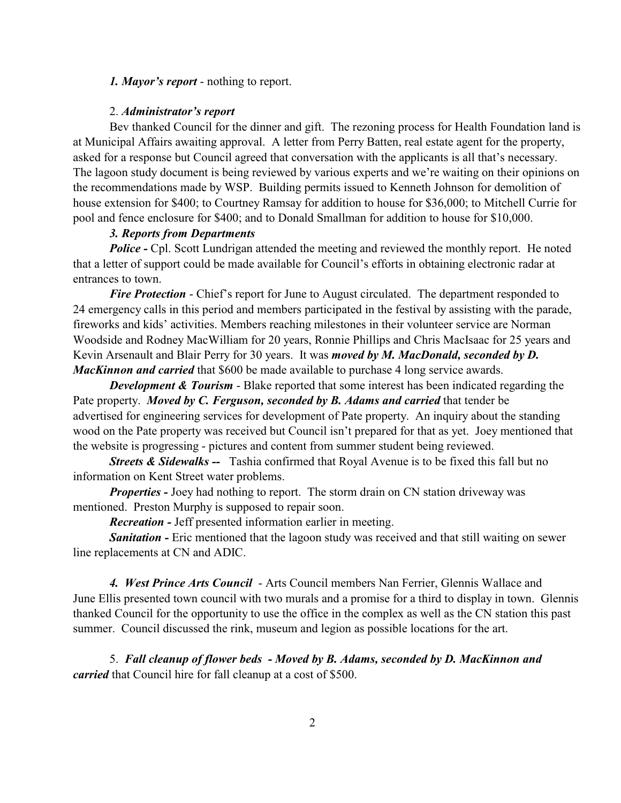## *1. Mayor's report* - nothing to report.

#### 2. *Administrator's report*

Bev thanked Council for the dinner and gift. The rezoning process for Health Foundation land is at Municipal Affairs awaiting approval. A letter from Perry Batten, real estate agent for the property, asked for a response but Council agreed that conversation with the applicants is all that's necessary. The lagoon study document is being reviewed by various experts and we're waiting on their opinions on the recommendations made by WSP. Building permits issued to Kenneth Johnson for demolition of house extension for \$400; to Courtney Ramsay for addition to house for \$36,000; to Mitchell Currie for pool and fence enclosure for \$400; and to Donald Smallman for addition to house for \$10,000.

## *3. Reports from Departments*

**Police - Cpl.** Scott Lundrigan attended the meeting and reviewed the monthly report. He noted that a letter of support could be made available for Council's efforts in obtaining electronic radar at entrances to town.

*Fire Protection* - Chief's report for June to August circulated. The department responded to 24 emergency calls in this period and members participated in the festival by assisting with the parade, fireworks and kids' activities. Members reaching milestones in their volunteer service are Norman Woodside and Rodney MacWilliam for 20 years, Ronnie Phillips and Chris MacIsaac for 25 years and Kevin Arsenault and Blair Perry for 30 years. It was *moved by M. MacDonald, seconded by D. MacKinnon and carried* that \$600 be made available to purchase 4 long service awards.

*Development & Tourism* - Blake reported that some interest has been indicated regarding the Pate property. *Moved by C. Ferguson, seconded by B. Adams and carried* that tender be advertised for engineering services for development of Pate property. An inquiry about the standing wood on the Pate property was received but Council isn't prepared for that as yet. Joey mentioned that the website is progressing - pictures and content from summer student being reviewed.

*Streets & Sidewalks --* Tashia confirmed that Royal Avenue is to be fixed this fall but no information on Kent Street water problems.

*Properties -* Joey had nothing to report. The storm drain on CN station driveway was mentioned. Preston Murphy is supposed to repair soon.

*Recreation -* Jeff presented information earlier in meeting.

*Sanitation -* Eric mentioned that the lagoon study was received and that still waiting on sewer line replacements at CN and ADIC.

*4. West Prince Arts Council* - Arts Council members Nan Ferrier, Glennis Wallace and June Ellis presented town council with two murals and a promise for a third to display in town. Glennis thanked Council for the opportunity to use the office in the complex as well as the CN station this past summer. Council discussed the rink, museum and legion as possible locations for the art.

5. *Fall cleanup of flower beds - Moved by B. Adams, seconded by D. MacKinnon and carried* that Council hire for fall cleanup at a cost of \$500.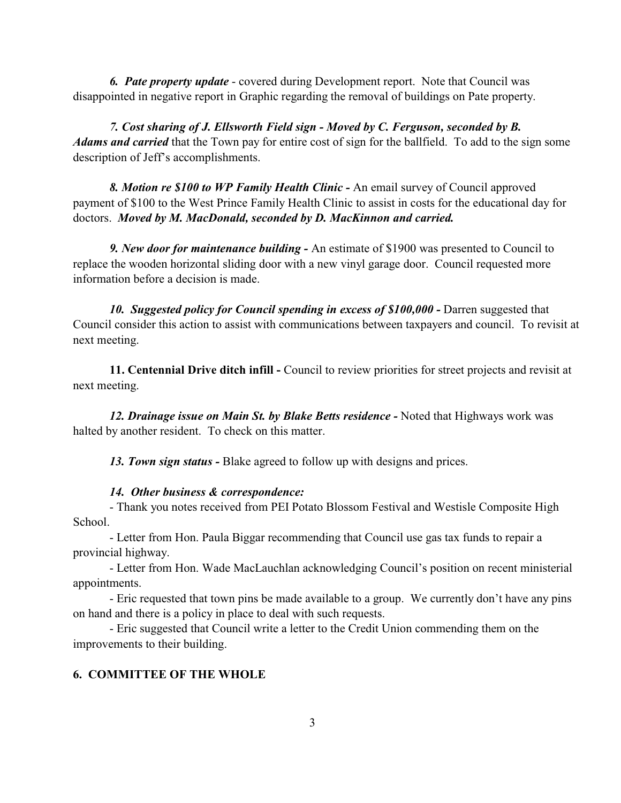*6. Pate property update* - covered during Development report. Note that Council was disappointed in negative report in Graphic regarding the removal of buildings on Pate property.

*7. Cost sharing of J. Ellsworth Field sign - Moved by C. Ferguson, seconded by B. Adams and carried* that the Town pay for entire cost of sign for the ballfield. To add to the sign some description of Jeff's accomplishments.

*8. Motion re \$100 to WP Family Health Clinic -* An email survey of Council approved payment of \$100 to the West Prince Family Health Clinic to assist in costs for the educational day for doctors. *Moved by M. MacDonald, seconded by D. MacKinnon and carried.*

*9. New door for maintenance building -* An estimate of \$1900 was presented to Council to replace the wooden horizontal sliding door with a new vinyl garage door. Council requested more information before a decision is made.

**10. Suggested policy for Council spending in excess of \$100,000 - Darren suggested that** Council consider this action to assist with communications between taxpayers and council. To revisit at next meeting.

**11. Centennial Drive ditch infill -** Council to review priorities for street projects and revisit at next meeting.

12. Drainage issue on Main St. by Blake Betts residence - Noted that Highways work was halted by another resident. To check on this matter.

*13. Town sign status -* Blake agreed to follow up with designs and prices.

#### *14. Other business & correspondence:*

- Thank you notes received from PEI Potato Blossom Festival and Westisle Composite High School.

- Letter from Hon. Paula Biggar recommending that Council use gas tax funds to repair a provincial highway.

- Letter from Hon. Wade MacLauchlan acknowledging Council's position on recent ministerial appointments.

- Eric requested that town pins be made available to a group. We currently don't have any pins on hand and there is a policy in place to deal with such requests.

- Eric suggested that Council write a letter to the Credit Union commending them on the improvements to their building.

## **6. COMMITTEE OF THE WHOLE**